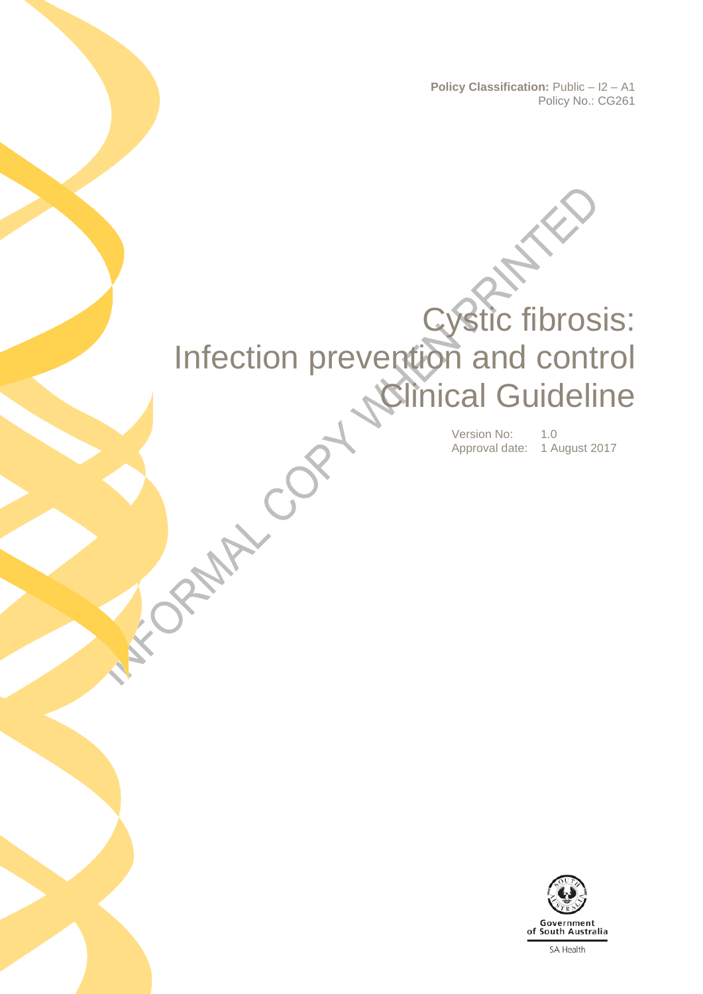**Policy Classification:** Public – I2 – A1 Policy No.: CG261

# Cystic fibrosis: Infection prevention and control **Clinical Guideline**

ACCEPTANCE

Version No: 1.0 Approval date: 1 August 2017

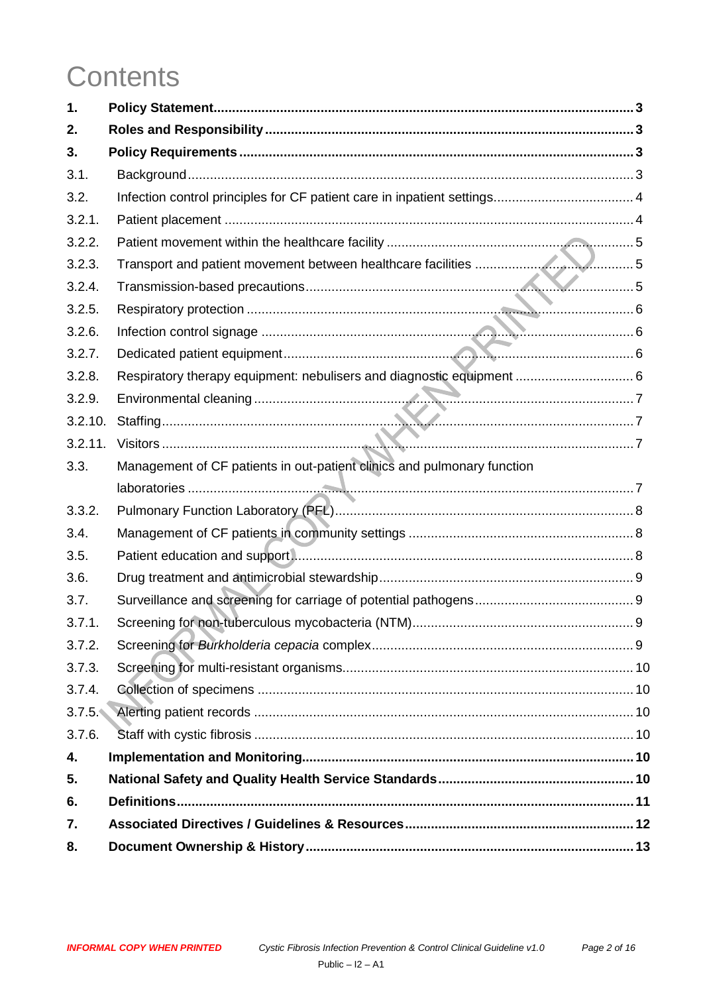## **Contents**

| 1.      |                                                                         |  |
|---------|-------------------------------------------------------------------------|--|
| 2.      |                                                                         |  |
| 3.      |                                                                         |  |
| 3.1.    |                                                                         |  |
| 3.2.    |                                                                         |  |
| 3.2.1.  |                                                                         |  |
| 3.2.2.  |                                                                         |  |
| 3.2.3.  |                                                                         |  |
| 3.2.4.  |                                                                         |  |
| 3.2.5.  |                                                                         |  |
| 3.2.6.  |                                                                         |  |
| 3.2.7.  |                                                                         |  |
| 3.2.8.  | Respiratory therapy equipment: nebulisers and diagnostic equipment  6   |  |
| 3.2.9.  |                                                                         |  |
| 3.2.10. |                                                                         |  |
| 3.2.11. |                                                                         |  |
| 3.3.    | Management of CF patients in out-patient clinics and pulmonary function |  |
|         |                                                                         |  |
| 3.3.2.  |                                                                         |  |
| 3.4.    |                                                                         |  |
| 3.5.    |                                                                         |  |
| 3.6.    |                                                                         |  |
| 3.7.    |                                                                         |  |
| 3.7.1.  |                                                                         |  |
| 3.7.2.  |                                                                         |  |
| 3.7.3.  |                                                                         |  |
| 3.7.4.  |                                                                         |  |
|         |                                                                         |  |
| 3.7.6.  |                                                                         |  |
| 4.      |                                                                         |  |
| 5.      |                                                                         |  |
| 6.      |                                                                         |  |
| 7.      |                                                                         |  |
| 8.      |                                                                         |  |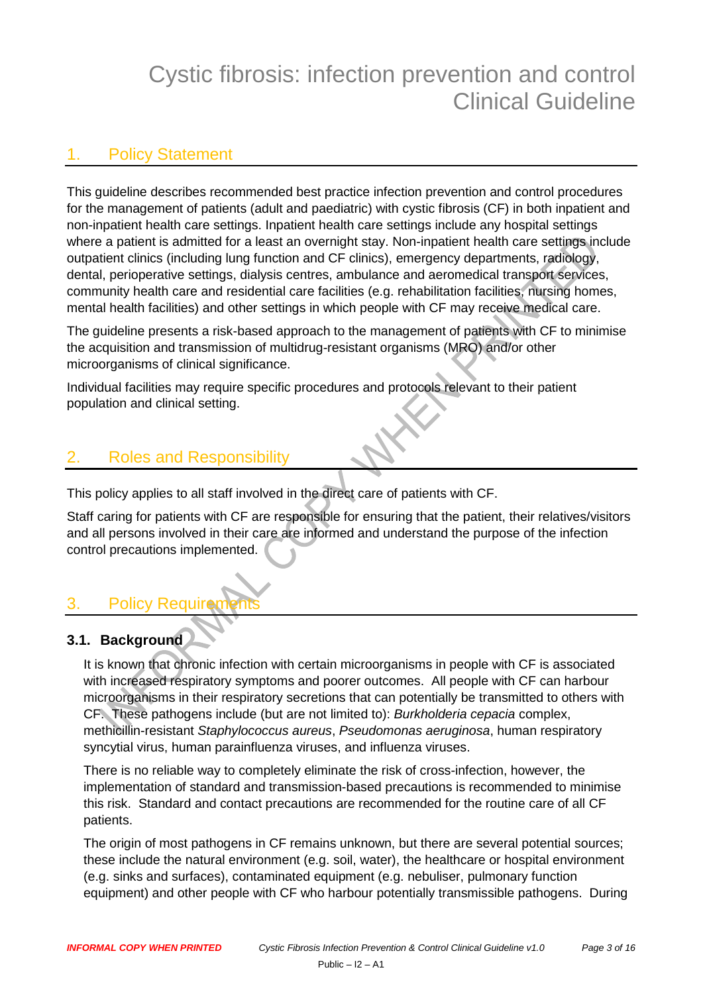## Cystic fibrosis: infection prevention and control Clinical Guideline

## <span id="page-2-0"></span>1. Policy Statement

This guideline describes recommended best practice infection prevention and control procedures for the management of patients (adult and paediatric) with cystic fibrosis (CF) in both inpatient and non-inpatient health care settings. Inpatient health care settings include any hospital settings where a patient is admitted for a least an overnight stay. Non-inpatient health care settings include outpatient clinics (including lung function and CF clinics), emergency departments, radiology, dental, perioperative settings, dialysis centres, ambulance and aeromedical transport services, community health care and residential care facilities (e.g. rehabilitation facilities, nursing homes, mental health facilities) and other settings in which people with CF may receive medical care.

The guideline presents a risk-based approach to the management of patients with CF to minimise the acquisition and transmission of multidrug-resistant organisms (MRO) and/or other microorganisms of clinical significance.

Individual facilities may require specific procedures and protocols relevant to their patient population and clinical setting.

## <span id="page-2-1"></span>2. Roles and Responsibility

This policy applies to all staff involved in the direct care of patients with CF.

Staff caring for patients with CF are responsible for ensuring that the patient, their relatives/visitors and all persons involved in their care are informed and understand the purpose of the infection control precautions implemented.

## <span id="page-2-2"></span>3. Policy Requirem

## <span id="page-2-3"></span>**3.1. Background**

It is known that chronic infection with certain microorganisms in people with CF is associated with increased respiratory symptoms and poorer outcomes. All people with CF can harbour microorganisms in their respiratory secretions that can potentially be transmitted to others with CF. These pathogens include (but are not limited to): *Burkholderia cepacia* complex, methicillin-resistant *Staphylococcus aureus*, *Pseudomonas aeruginosa*, human respiratory syncytial virus, human parainfluenza viruses, and influenza viruses.

There is no reliable way to completely eliminate the risk of cross-infection, however, the implementation of standard and transmission-based precautions is recommended to minimise this risk. Standard and contact precautions are recommended for the routine care of all CF patients.

The origin of most pathogens in CF remains unknown, but there are several potential sources; these include the natural environment (e.g. soil, water), the healthcare or hospital environment (e.g. sinks and surfaces), contaminated equipment (e.g. nebuliser, pulmonary function equipment) and other people with CF who harbour potentially transmissible pathogens. During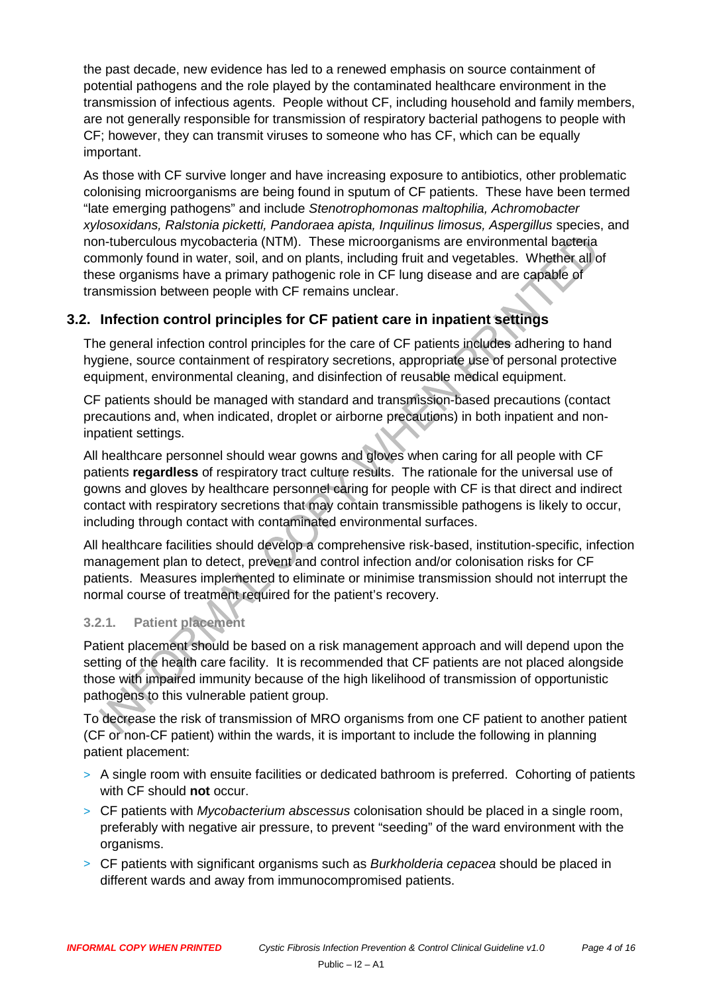the past decade, new evidence has led to a renewed emphasis on source containment of potential pathogens and the role played by the contaminated healthcare environment in the transmission of infectious agents. People without CF, including household and family members, are not generally responsible for transmission of respiratory bacterial pathogens to people with CF; however, they can transmit viruses to someone who has CF, which can be equally important.

As those with CF survive longer and have increasing exposure to antibiotics, other problematic colonising microorganisms are being found in sputum of CF patients. These have been termed "late emerging pathogens" and include *Stenotrophomonas maltophilia, Achromobacter xylosoxidans, Ralstonia picketti, Pandoraea apista, Inquilinus limosus, Aspergillus* species, and non-tuberculous mycobacteria (NTM). These microorganisms are environmental bacteria commonly found in water, soil, and on plants, including fruit and vegetables. Whether all of these organisms have a primary pathogenic role in CF lung disease and are capable of transmission between people with CF remains unclear.

## <span id="page-3-0"></span>**3.2. Infection control principles for CF patient care in inpatient settings**

The general infection control principles for the care of CF patients includes adhering to hand hygiene, source containment of respiratory secretions, appropriate use of personal protective equipment, environmental cleaning, and disinfection of reusable medical equipment.

CF patients should be managed with standard and transmission-based precautions (contact precautions and, when indicated, droplet or airborne precautions) in both inpatient and noninpatient settings.

All healthcare personnel should wear gowns and gloves when caring for all people with CF patients **regardless** of respiratory tract culture results. The rationale for the universal use of gowns and gloves by healthcare personnel caring for people with CF is that direct and indirect contact with respiratory secretions that may contain transmissible pathogens is likely to occur, including through contact with contaminated environmental surfaces.

All healthcare facilities should develop a comprehensive risk-based, institution-specific, infection management plan to detect, prevent and control infection and/or colonisation risks for CF patients. Measures implemented to eliminate or minimise transmission should not interrupt the normal course of treatment required for the patient's recovery.

#### <span id="page-3-1"></span>**3.2.1. Patient placement**

Patient placement should be based on a risk management approach and will depend upon the setting of the health care facility. It is recommended that CF patients are not placed alongside those with impaired immunity because of the high likelihood of transmission of opportunistic pathogens to this vulnerable patient group.

To decrease the risk of transmission of MRO organisms from one CF patient to another patient (CF or non-CF patient) within the wards, it is important to include the following in planning patient placement:

- > A single room with ensuite facilities or dedicated bathroom is preferred. Cohorting of patients with CF should **not** occur.
- > CF patients with *Mycobacterium abscessus* colonisation should be placed in a single room, preferably with negative air pressure, to prevent "seeding" of the ward environment with the organisms.
- > CF patients with significant organisms such as *Burkholderia cepacea* should be placed in different wards and away from immunocompromised patients.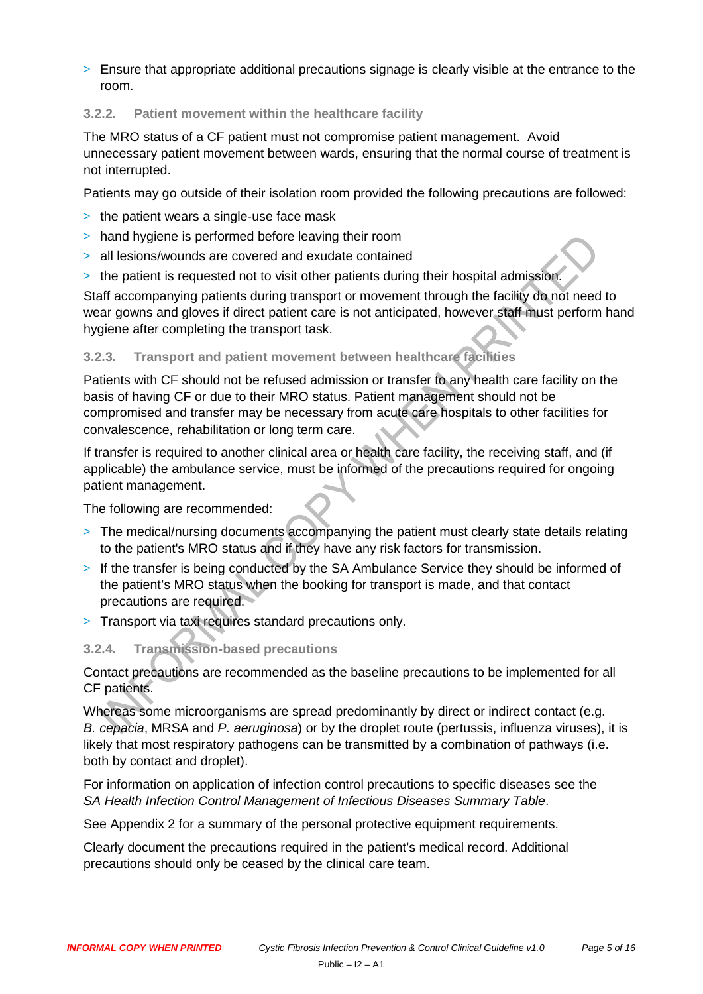> Ensure that appropriate additional precautions signage is clearly visible at the entrance to the room.

#### <span id="page-4-0"></span>**3.2.2. Patient movement within the healthcare facility**

The MRO status of a CF patient must not compromise patient management. Avoid unnecessary patient movement between wards, ensuring that the normal course of treatment is not interrupted.

Patients may go outside of their isolation room provided the following precautions are followed:

- > the patient wears a single-use face mask
- > hand hygiene is performed before leaving their room
- > all lesions/wounds are covered and exudate contained
- > the patient is requested not to visit other patients during their hospital admission.

Staff accompanying patients during transport or movement through the facility do not need to wear gowns and gloves if direct patient care is not anticipated, however staff must perform hand hygiene after completing the transport task.

#### <span id="page-4-1"></span>**3.2.3. Transport and patient movement between healthcare facilities**

Patients with CF should not be refused admission or transfer to any health care facility on the basis of having CF or due to their MRO status. Patient management should not be compromised and transfer may be necessary from acute care hospitals to other facilities for convalescence, rehabilitation or long term care.

If transfer is required to another clinical area or health care facility, the receiving staff, and (if applicable) the ambulance service, must be informed of the precautions required for ongoing patient management.

The following are recommended:

- > The medical/nursing documents accompanying the patient must clearly state details relating to the patient's MRO status and if they have any risk factors for transmission.
- > If the transfer is being conducted by the SA Ambulance Service they should be informed of the patient's MRO status when the booking for transport is made, and that contact precautions are required.
- > Transport via taxi requires standard precautions only.

#### <span id="page-4-2"></span>**3.2.4. Transmission-based precautions**

Contact precautions are recommended as the baseline precautions to be implemented for all CF patients.

Whereas some microorganisms are spread predominantly by direct or indirect contact (e.g. *B. cepacia*, MRSA and *P. aeruginosa*) or by the droplet route (pertussis, influenza viruses), it is likely that most respiratory pathogens can be transmitted by a combination of pathways (i.e. both by contact and droplet).

For information on application of infection control precautions to specific diseases see the *SA Health Infection Control Management of Infectious Diseases Summary Table*.

See [Appendix 2 for a summary of the personal protective equipment requirements.](#page-14-0)

Clearly document the precautions required in the patient's medical record. Additional precautions should only be ceased by the clinical care team.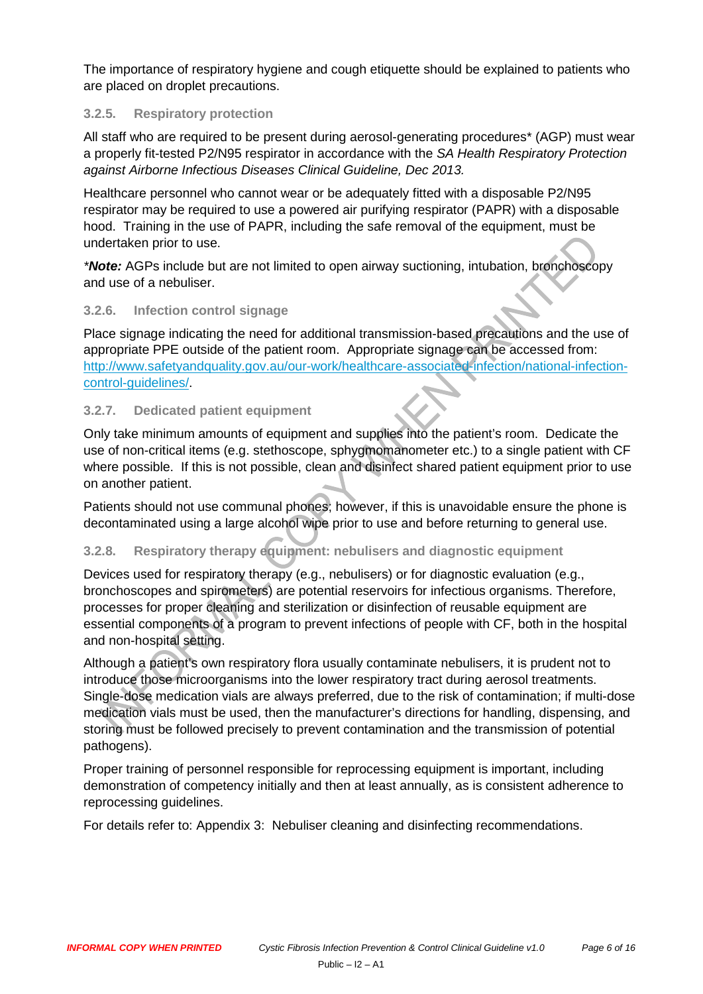The importance of respiratory hygiene and cough etiquette should be explained to patients who are placed on droplet precautions.

#### <span id="page-5-0"></span>**3.2.5. Respiratory protection**

All staff who are required to be present during aerosol-generating procedures\* (AGP) must wear a properly fit-tested P2/N95 respirator in accordance with the *SA Health Respiratory Protection against Airborne Infectious Diseases Clinical Guideline, Dec 2013.*

Healthcare personnel who cannot wear or be adequately fitted with a disposable P2/N95 respirator may be required to use a powered air purifying respirator (PAPR) with a disposable hood. Training in the use of PAPR, including the safe removal of the equipment, must be undertaken prior to use.

*\*Note:* AGPs include but are not limited to open airway suctioning, intubation, bronchoscopy and use of a nebuliser.

#### <span id="page-5-1"></span>**3.2.6. Infection control signage**

Place signage indicating the need for additional transmission-based precautions and the use of appropriate PPE outside of the patient room. Appropriate signage can be accessed from: [http://www.safetyandquality.gov.au/our-work/healthcare-associated-infection/national-infection](http://www.safetyandquality.gov.au/our-work/healthcare-associated-infection/national-infection-control-guidelines/)[control-guidelines/.](http://www.safetyandquality.gov.au/our-work/healthcare-associated-infection/national-infection-control-guidelines/)

#### <span id="page-5-2"></span>**3.2.7. Dedicated patient equipment**

Only take minimum amounts of equipment and supplies into the patient's room. Dedicate the use of non-critical items (e.g. stethoscope, sphygmomanometer etc.) to a single patient with CF where possible. If this is not possible, clean and disinfect shared patient equipment prior to use on another patient.

Patients should not use communal phones; however, if this is unavoidable ensure the phone is decontaminated using a large alcohol wipe prior to use and before returning to general use.

#### <span id="page-5-3"></span>**3.2.8. Respiratory therapy equipment: nebulisers and diagnostic equipment**

Devices used for respiratory therapy (e.g., nebulisers) or for diagnostic evaluation (e.g., bronchoscopes and spirometers) are potential reservoirs for infectious organisms. Therefore, processes for proper cleaning and sterilization or disinfection of reusable equipment are essential components of a program to prevent infections of people with CF, both in the hospital and non-hospital setting.

Although a patient's own respiratory flora usually contaminate nebulisers, it is prudent not to introduce those microorganisms into the lower respiratory tract during aerosol treatments. Single-dose medication vials are always preferred, due to the risk of contamination; if multi-dose medication vials must be used, then the manufacturer's directions for handling, dispensing, and storing must be followed precisely to prevent contamination and the transmission of potential pathogens).

Proper training of personnel responsible for reprocessing equipment is important, including demonstration of competency initially and then at least annually, as is consistent adherence to reprocessing guidelines.

<span id="page-5-4"></span>For details refer to: [Appendix 3: Nebuliser cleaning and](#page-15-0) disinfecting recommendations.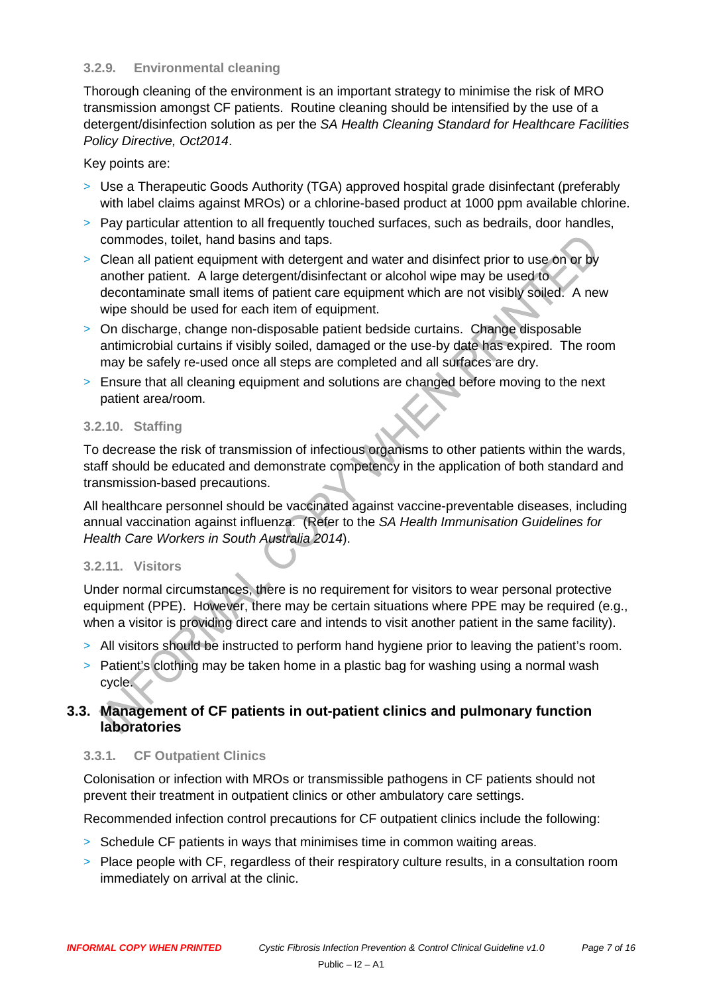#### **3.2.9. Environmental cleaning**

Thorough cleaning of the environment is an important strategy to minimise the risk of MRO transmission amongst CF patients. Routine cleaning should be intensified by the use of a detergent/disinfection solution as per the *SA Health Cleaning Standard for Healthcare Facilities Policy Directive, Oct2014*.

Key points are:

- > Use a Therapeutic Goods Authority (TGA) approved hospital grade disinfectant (preferably with label claims against MROs) or a chlorine-based product at 1000 ppm available chlorine.
- > Pay particular attention to all frequently touched surfaces, such as bedrails, door handles, commodes, toilet, hand basins and taps.
- > Clean all patient equipment with detergent and water and disinfect prior to use on or by another patient. A large detergent/disinfectant or alcohol wipe may be used to decontaminate small items of patient care equipment which are not visibly soiled. A new wipe should be used for each item of equipment.
- > On discharge, change non-disposable patient bedside curtains. Change disposable antimicrobial curtains if visibly soiled, damaged or the use-by date has expired. The room may be safely re-used once all steps are completed and all surfaces are dry.
- > Ensure that all cleaning equipment and solutions are changed before moving to the next patient area/room.

#### <span id="page-6-0"></span>**3.2.10. Staffing**

To decrease the risk of transmission of infectious organisms to other patients within the wards, staff should be educated and demonstrate competency in the application of both standard and transmission-based precautions.

All healthcare personnel should be vaccinated against vaccine-preventable diseases, including annual vaccination against influenza. (Refer to the *SA Health Immunisation Guidelines for Health Care Workers in South Australia 2014*).

#### <span id="page-6-1"></span>**3.2.11. Visitors**

Under normal circumstances, there is no requirement for visitors to wear personal protective equipment (PPE). However, there may be certain situations where PPE may be required (e.g., when a visitor is providing direct care and intends to visit another patient in the same facility).

- > All visitors should be instructed to perform hand hygiene prior to leaving the patient's room.
- > Patient's clothing may be taken home in a plastic bag for washing using a normal wash cycle.

#### <span id="page-6-2"></span>**3.3. Management of CF patients in out-patient clinics and pulmonary function laboratories**

#### **3.3.1. CF Outpatient Clinics**

Colonisation or infection with MROs or transmissible pathogens in CF patients should not prevent their treatment in outpatient clinics or other ambulatory care settings.

Recommended infection control precautions for CF outpatient clinics include the following:

- > Schedule CF patients in ways that minimises time in common waiting areas.
- > Place people with CF, regardless of their respiratory culture results, in a consultation room immediately on arrival at the clinic.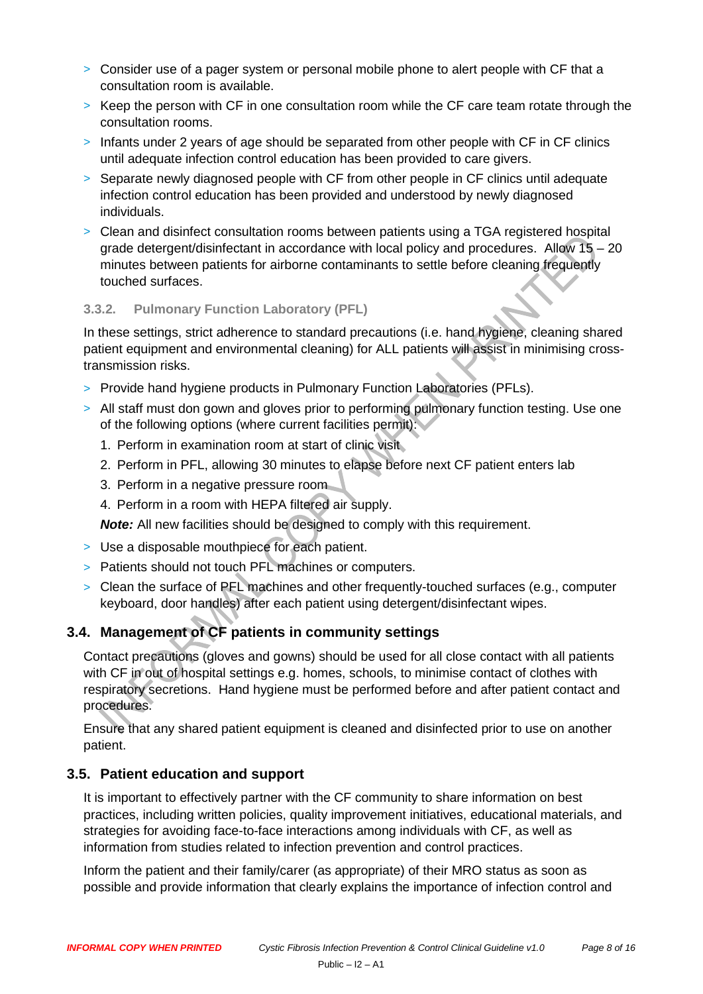- > Consider use of a pager system or personal mobile phone to alert people with CF that a consultation room is available.
- > Keep the person with CF in one consultation room while the CF care team rotate through the consultation rooms.
- > Infants under 2 years of age should be separated from other people with CF in CF clinics until adequate infection control education has been provided to care givers.
- > Separate newly diagnosed people with CF from other people in CF clinics until adequate infection control education has been provided and understood by newly diagnosed individuals.
- > Clean and disinfect consultation rooms between patients using a TGA registered hospital grade detergent/disinfectant in accordance with local policy and procedures. Allow 15 – 20 minutes between patients for airborne contaminants to settle before cleaning frequently touched surfaces.

#### <span id="page-7-0"></span>**3.3.2. Pulmonary Function Laboratory (PFL)**

In these settings, strict adherence to standard precautions (i.e. hand hygiene, cleaning shared patient equipment and environmental cleaning) for ALL patients will assist in minimising crosstransmission risks.

- > Provide hand hygiene products in Pulmonary Function Laboratories (PFLs).
- > All staff must don gown and gloves prior to performing pulmonary function testing. Use one of the following options (where current facilities permit):
	- 1. Perform in examination room at start of clinic visit
	- 2. Perform in PFL, allowing 30 minutes to elapse before next CF patient enters lab
	- 3. Perform in a negative pressure room
	- 4. Perform in a room with HEPA filtered air supply.

*Note:* All new facilities should be designed to comply with this requirement.

- > Use a disposable mouthpiece for each patient.
- > Patients should not touch PFL machines or computers.
- > Clean the surface of PFL machines and other frequently-touched surfaces (e.g., computer keyboard, door handles) after each patient using detergent/disinfectant wipes.

## <span id="page-7-1"></span>**3.4. Management of CF patients in community settings**

Contact precautions (gloves and gowns) should be used for all close contact with all patients with CF in out of hospital settings e.g. homes, schools, to minimise contact of clothes with respiratory secretions. Hand hygiene must be performed before and after patient contact and procedures.

Ensure that any shared patient equipment is cleaned and disinfected prior to use on another patient.

#### <span id="page-7-2"></span>**3.5. Patient education and support**

It is important to effectively partner with the CF community to share information on best practices, including written policies, quality improvement initiatives, educational materials, and strategies for avoiding face-to-face interactions among individuals with CF, as well as information from studies related to infection prevention and control practices.

Inform the patient and their family/carer (as appropriate) of their MRO status as soon as possible and provide information that clearly explains the importance of infection control and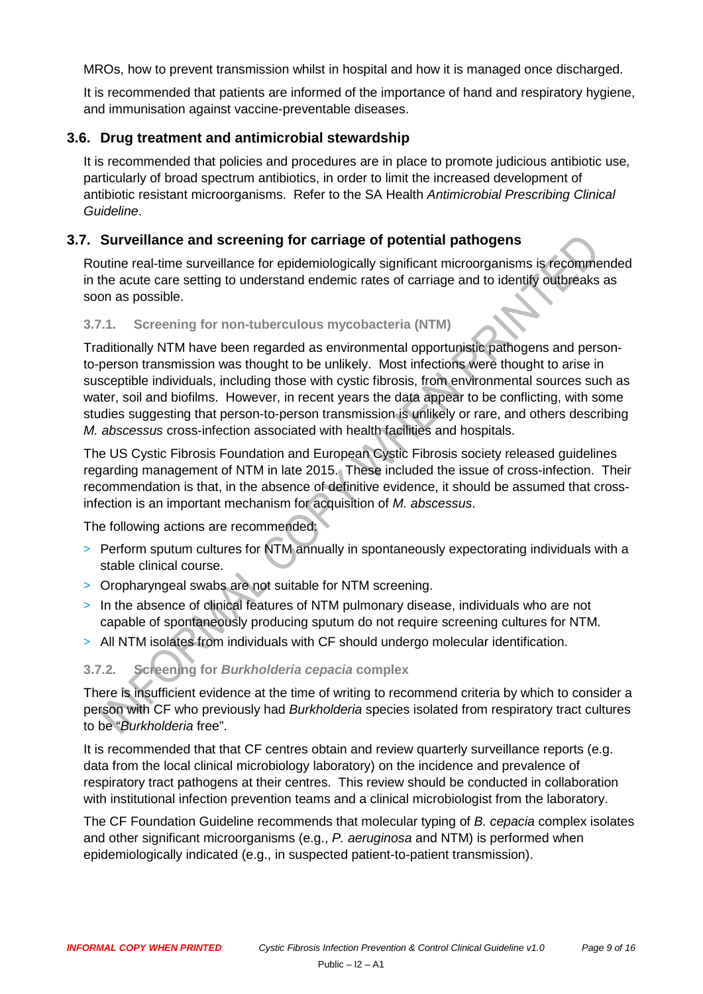MROs, how to prevent transmission whilst in hospital and how it is managed once discharged.

It is recommended that patients are informed of the importance of hand and respiratory hygiene, and immunisation against vaccine-preventable diseases.

#### <span id="page-8-0"></span>**3.6. Drug treatment and antimicrobial stewardship**

It is recommended that policies and procedures are in place to promote judicious antibiotic use, particularly of broad spectrum antibiotics, in order to limit the increased development of antibiotic resistant microorganisms. Refer to the SA Health *Antimicrobial Prescribing Clinical Guideline*.

#### <span id="page-8-1"></span>**3.7. Surveillance and screening for carriage of potential pathogens**

Routine real-time surveillance for epidemiologically significant microorganisms is recommended in the acute care setting to understand endemic rates of carriage and to identify outbreaks as soon as possible.

#### <span id="page-8-2"></span>**3.7.1. Screening for non-tuberculous mycobacteria (NTM)**

Traditionally NTM have been regarded as environmental opportunistic pathogens and personto-person transmission was thought to be unlikely. Most infections were thought to arise in susceptible individuals, including those with cystic fibrosis, from environmental sources such as water, soil and biofilms. However, in recent years the data appear to be conflicting, with some studies suggesting that person-to-person transmission is unlikely or rare, and others describing *M. abscessus* cross-infection associated with health facilities and hospitals.

The US Cystic Fibrosis Foundation and European Cystic Fibrosis society released guidelines regarding management of NTM in late 2015. These included the issue of cross-infection. Their recommendation is that, in the absence of definitive evidence, it should be assumed that crossinfection is an important mechanism for acquisition of *M. abscessus*.

The following actions are recommended:

- > Perform sputum cultures for NTM annually in spontaneously expectorating individuals with a stable clinical course.
- > Oropharyngeal swabs are not suitable for NTM screening.
- > In the absence of clinical features of NTM pulmonary disease, individuals who are not capable of spontaneously producing sputum do not require screening cultures for NTM.
- > All NTM isolates from individuals with CF should undergo molecular identification.

## <span id="page-8-3"></span>**3.7.2. Screening for** *Burkholderia cepacia* **complex**

There is insufficient evidence at the time of writing to recommend criteria by which to consider a person with CF who previously had *Burkholderia* species isolated from respiratory tract cultures to be "*Burkholderia* free".

It is recommended that that CF centres obtain and review quarterly surveillance reports (e.g. data from the local clinical microbiology laboratory) on the incidence and prevalence of respiratory tract pathogens at their centres. This review should be conducted in collaboration with institutional infection prevention teams and a clinical microbiologist from the laboratory.

<span id="page-8-4"></span>The CF Foundation Guideline recommends that molecular typing of *B. cepacia* complex isolates and other significant microorganisms (e.g., *P. aeruginosa* and NTM) is performed when epidemiologically indicated (e.g., in suspected patient-to-patient transmission).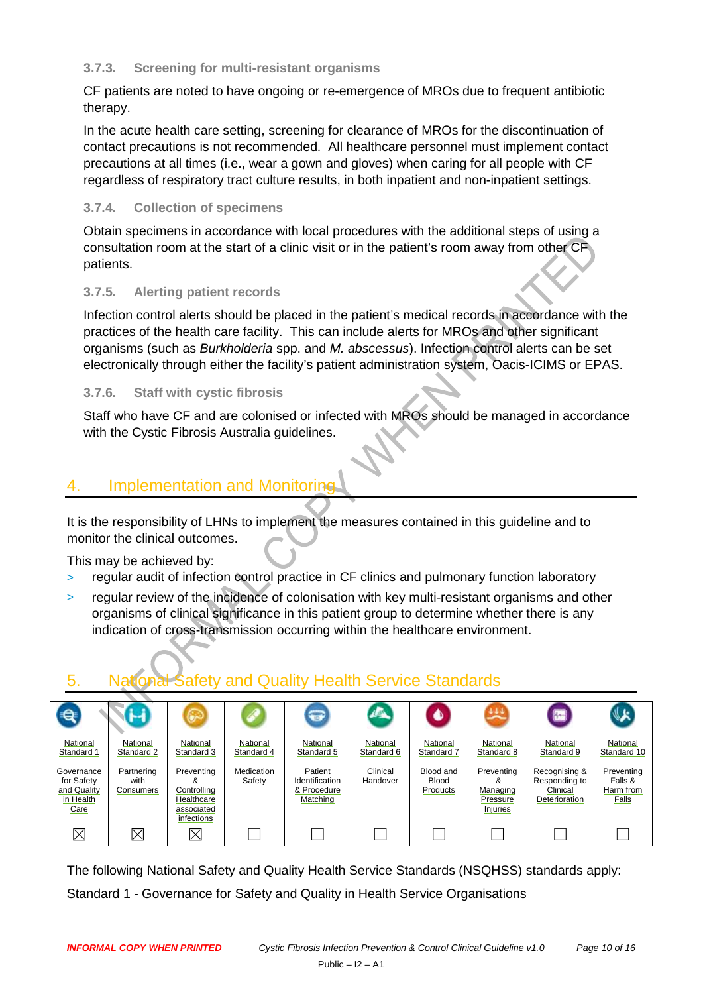#### **3.7.3. Screening for multi-resistant organisms**

CF patients are noted to have ongoing or re-emergence of MROs due to frequent antibiotic therapy.

In the acute health care setting, screening for clearance of MROs for the discontinuation of contact precautions is not recommended. All healthcare personnel must implement contact precautions at all times (i.e., wear a gown and gloves) when caring for all people with CF regardless of respiratory tract culture results, in both inpatient and non-inpatient settings.

#### <span id="page-9-0"></span>**3.7.4. Collection of specimens**

Obtain specimens in accordance with local procedures with the additional steps of using a consultation room at the start of a clinic visit or in the patient's room away from other CF patients.

#### <span id="page-9-1"></span>**3.7.5. Alerting patient records**

Infection control alerts should be placed in the patient's medical records in accordance with the practices of the health care facility. This can include alerts for MROs and other significant organisms (such as *Burkholderia* spp. and *M. abscessus*). Infection control alerts can be set electronically through either the facility's patient administration system, Oacis-ICIMS or EPAS.

#### <span id="page-9-2"></span>**3.7.6. Staff with cystic fibrosis**

Staff who have CF and are colonised or infected with MROs should be managed in accordance with the Cystic Fibrosis Australia guidelines.

## <span id="page-9-3"></span>4. Implementation and Monitoring

It is the responsibility of LHNs to implement the measures contained in this guideline and to monitor the clinical outcomes.

This may be achieved by:

- $>$  regular audit of infection control practice in CF clinics and pulmonary function laboratory
- regular review of the incidence of colonisation with key multi-resistant organisms and other organisms of clinical significance in this patient group to determine whether there is any indication of cross-transmission occurring within the healthcare environment.

## <span id="page-9-4"></span>5. National Safety and Quality Health Service Standards

| $\mathbf{a}$                                                 |                                 |                                                                          |                        | $\bigodot$                                           |                        |                                       |                                                             | A.                                                          |                                             |
|--------------------------------------------------------------|---------------------------------|--------------------------------------------------------------------------|------------------------|------------------------------------------------------|------------------------|---------------------------------------|-------------------------------------------------------------|-------------------------------------------------------------|---------------------------------------------|
| National<br>Standard 1                                       | National<br>Standard 2          | National<br>Standard 3                                                   | National<br>Standard 4 | National<br>Standard 5                               | National<br>Standard 6 | National<br>Standard 7                | National<br>Standard 8                                      | National<br>Standard 9                                      | National<br>Standard 10                     |
| Governance<br>for Safety<br>and Quality<br>in Health<br>Care | Partnering<br>with<br>Consumers | Preventing<br>୪<br>Controlling<br>Healthcare<br>associated<br>infections | Medication<br>Safety   | Patient<br>Identification<br>& Procedure<br>Matching | Clinical<br>Handover   | Blood and<br><b>Blood</b><br>Products | Preventing<br>ăx<br>Managing<br>Pressure<br><b>Injuries</b> | Recognising &<br>Responding to<br>Clinical<br>Deterioration | Preventing<br>Falls &<br>Harm from<br>Falls |
| Χ                                                            | $\times$                        | $\boxtimes$                                                              |                        |                                                      |                        |                                       |                                                             |                                                             |                                             |

The following National Safety and Quality Health Service Standards (NSQHSS) standards apply: Standard 1 - Governance for Safety and Quality in Health Service Organisations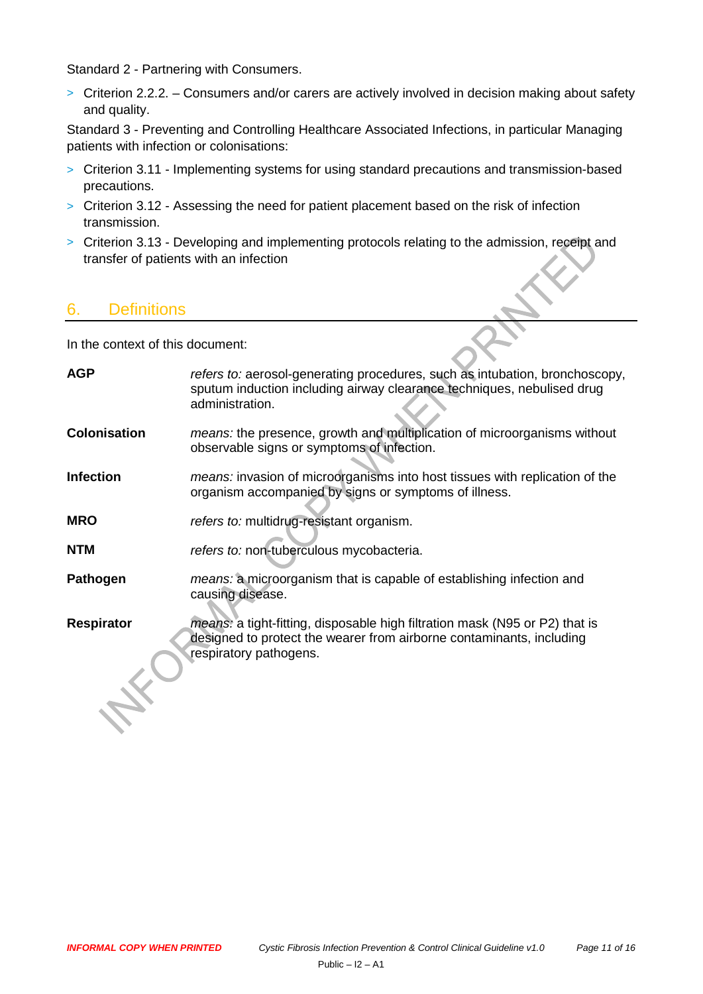Standard 2 - Partnering with Consumers.

> Criterion 2.2.2. – Consumers and/or carers are actively involved in decision making about safety and quality.

Standard 3 - Preventing and Controlling Healthcare Associated Infections, in particular Managing patients with infection or colonisations:

- > Criterion 3.11 Implementing systems for using standard precautions and transmission-based precautions.
- > Criterion 3.12 Assessing the need for patient placement based on the risk of infection transmission.
- > Criterion 3.13 Developing and implementing protocols relating to the admission, receipt and transfer of patients with an infection

## <span id="page-10-0"></span>6. Definitions

In the context of this document:

<span id="page-10-1"></span>

| <b>AGP</b>          | refers to: aerosol-generating procedures, such as intubation, bronchoscopy,<br>sputum induction including airway clearance techniques, nebulised drug<br>administration.             |
|---------------------|--------------------------------------------------------------------------------------------------------------------------------------------------------------------------------------|
| <b>Colonisation</b> | <i>means:</i> the presence, growth and multiplication of microorganisms without<br>observable signs or symptoms of infection.                                                        |
| <b>Infection</b>    | means: invasion of microorganisms into host tissues with replication of the<br>organism accompanied by signs or symptoms of illness.                                                 |
| <b>MRO</b>          | refers to: multidrug-resistant organism.                                                                                                                                             |
| <b>NTM</b>          | refers to: non-tuberculous mycobacteria.                                                                                                                                             |
| Pathogen            | <i>means:</i> a microorganism that is capable of establishing infection and<br>causing disease.                                                                                      |
| Respirator          | <i>means:</i> a tight-fitting, disposable high filtration mask (N95 or P2) that is<br>designed to protect the wearer from airborne contaminants, including<br>respiratory pathogens. |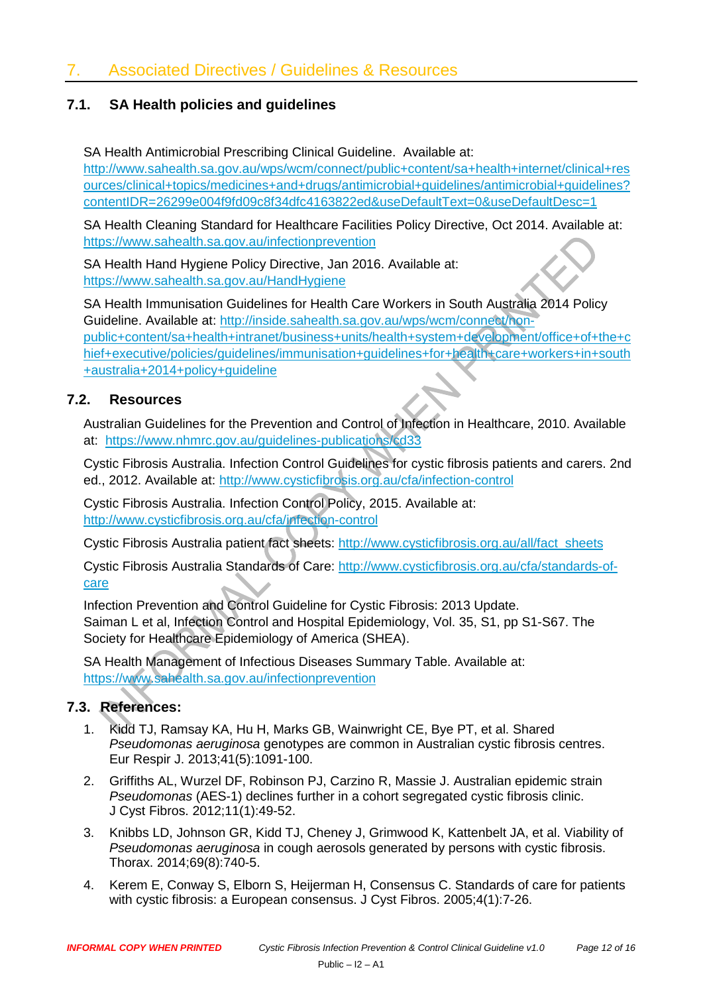#### **7.1. SA Health policies and guidelines**

SA Health Antimicrobial Prescribing Clinical Guideline. Available at:

[http://www.sahealth.sa.gov.au/wps/wcm/connect/public+content/sa+health+internet/clinical+res](http://www.sahealth.sa.gov.au/wps/wcm/connect/public+content/sa+health+internet/clinical+resources/clinical+topics/medicines+and+drugs/antimicrobial+guidelines/antimicrobial+guidelines?contentIDR=26299e004f9fd09c8f34dfc4163822ed&useDefaultText=0&useDefaultDesc=1) [ources/clinical+topics/medicines+and+drugs/antimicrobial+guidelines/antimicrobial+guidelines?](http://www.sahealth.sa.gov.au/wps/wcm/connect/public+content/sa+health+internet/clinical+resources/clinical+topics/medicines+and+drugs/antimicrobial+guidelines/antimicrobial+guidelines?contentIDR=26299e004f9fd09c8f34dfc4163822ed&useDefaultText=0&useDefaultDesc=1) [contentIDR=26299e004f9fd09c8f34dfc4163822ed&useDefaultText=0&useDefaultDesc=1](http://www.sahealth.sa.gov.au/wps/wcm/connect/public+content/sa+health+internet/clinical+resources/clinical+topics/medicines+and+drugs/antimicrobial+guidelines/antimicrobial+guidelines?contentIDR=26299e004f9fd09c8f34dfc4163822ed&useDefaultText=0&useDefaultDesc=1)

SA Health Cleaning Standard for Healthcare Facilities Policy Directive, Oct 2014. Available at: <https://www.sahealth.sa.gov.au/infectionprevention>

SA Health Hand Hygiene Policy Directive, Jan 2016. Available at: <https://www.sahealth.sa.gov.au/HandHygiene>

SA Health Immunisation Guidelines for Health Care Workers in South Australia 2014 Policy Guideline. Available at: [http://inside.sahealth.sa.gov.au/wps/wcm/connect/non](http://inside.sahealth.sa.gov.au/wps/wcm/connect/non-public+content/sa+health+intranet/business+units/health+system+development/office+of+the+chief+executive/policies/guidelines/immunisation+guidelines+for+health+care+workers+in+south+australia+2014+policy+guideline)[public+content/sa+health+intranet/business+units/health+system+development/office+of+the+c](http://inside.sahealth.sa.gov.au/wps/wcm/connect/non-public+content/sa+health+intranet/business+units/health+system+development/office+of+the+chief+executive/policies/guidelines/immunisation+guidelines+for+health+care+workers+in+south+australia+2014+policy+guideline) [hief+executive/policies/guidelines/immunisation+guidelines+for+health+care+workers+in+south](http://inside.sahealth.sa.gov.au/wps/wcm/connect/non-public+content/sa+health+intranet/business+units/health+system+development/office+of+the+chief+executive/policies/guidelines/immunisation+guidelines+for+health+care+workers+in+south+australia+2014+policy+guideline) [+australia+2014+policy+guideline](http://inside.sahealth.sa.gov.au/wps/wcm/connect/non-public+content/sa+health+intranet/business+units/health+system+development/office+of+the+chief+executive/policies/guidelines/immunisation+guidelines+for+health+care+workers+in+south+australia+2014+policy+guideline)

#### **7.2. Resources**

Australian Guidelines for the Prevention and Control of Infection in Healthcare, 2010. Available at: <https://www.nhmrc.gov.au/guidelines-publications/cd33>

Cystic Fibrosis Australia. Infection Control Guidelines for cystic fibrosis patients and carers. 2nd ed., 2012. Available at:<http://www.cysticfibrosis.org.au/cfa/infection-control>

Cystic Fibrosis Australia. Infection Control Policy, 2015. Available at: <http://www.cysticfibrosis.org.au/cfa/infection-control>

Cystic Fibrosis Australia patient fact sheets: [http://www.cysticfibrosis.org.au/all/fact\\_sheets](http://www.cysticfibrosis.org.au/all/fact_sheets)

Cystic Fibrosis Australia Standards of Care: [http://www.cysticfibrosis.org.au/cfa/standards-of](http://www.cysticfibrosis.org.au/cfa/standards-of-care)[care](http://www.cysticfibrosis.org.au/cfa/standards-of-care)

Infection Prevention and Control Guideline for Cystic Fibrosis: 2013 Update. Saiman L et al, Infection Control and Hospital Epidemiology, Vol. 35, S1, pp S1-S67. The Society for Healthcare Epidemiology of America (SHEA).

SA Health Management of Infectious Diseases Summary Table. Available at: <https://www.sahealth.sa.gov.au/infectionprevention>

## **7.3. References:**

- 1. Kidd TJ, Ramsay KA, Hu H, Marks GB, Wainwright CE, Bye PT, et al. Shared *Pseudomonas aeruginosa* genotypes are common in Australian cystic fibrosis centres. Eur Respir J. 2013;41(5):1091-100.
- 2. Griffiths AL, Wurzel DF, Robinson PJ, Carzino R, Massie J. Australian epidemic strain *Pseudomonas* (AES-1) declines further in a cohort segregated cystic fibrosis clinic. J Cyst Fibros. 2012;11(1):49-52.
- 3. Knibbs LD, Johnson GR, Kidd TJ, Cheney J, Grimwood K, Kattenbelt JA, et al. Viability of *Pseudomonas aeruginosa* in cough aerosols generated by persons with cystic fibrosis. Thorax. 2014;69(8):740-5.
- 4. Kerem E, Conway S, Elborn S, Heijerman H, Consensus C. Standards of care for patients with cystic fibrosis: a European consensus. J Cyst Fibros. 2005;4(1):7-26.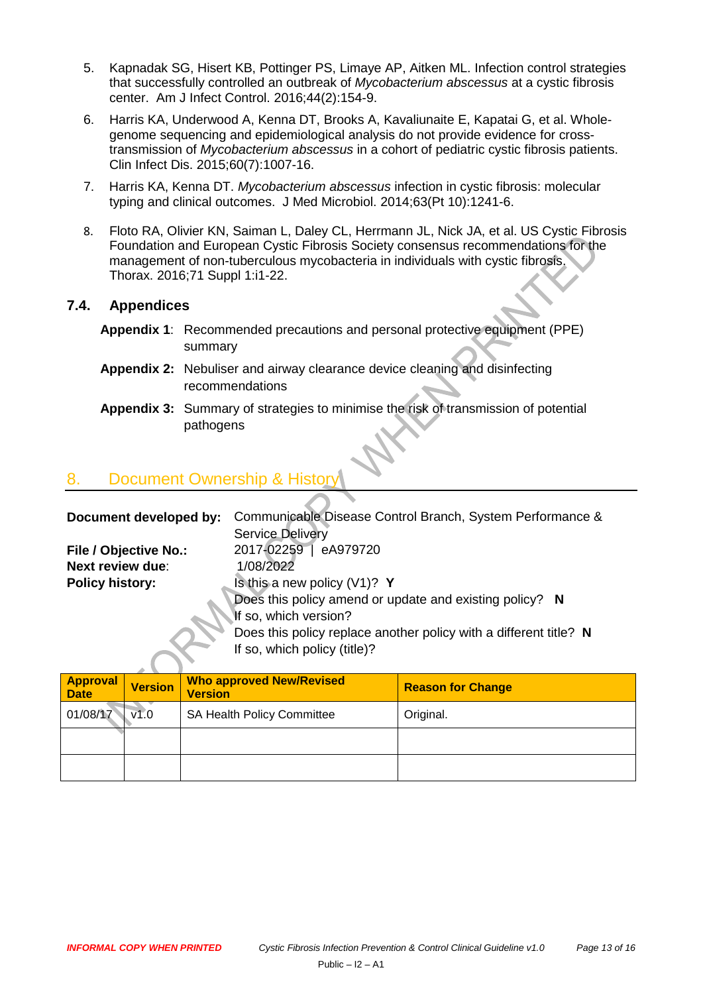- 5. Kapnadak SG, Hisert KB, Pottinger PS, Limaye AP, Aitken ML. Infection control strategies that successfully controlled an outbreak of *Mycobacterium abscessus* at a cystic fibrosis center. Am J Infect Control. 2016;44(2):154-9.
- 6. Harris KA, Underwood A, Kenna DT, Brooks A, Kavaliunaite E, Kapatai G, et al. Wholegenome sequencing and epidemiological analysis do not provide evidence for crosstransmission of *Mycobacterium abscessus* in a cohort of pediatric cystic fibrosis patients. Clin Infect Dis. 2015;60(7):1007-16.
- 7. Harris KA, Kenna DT. *Mycobacterium abscessus* infection in cystic fibrosis: molecular typing and clinical outcomes. J Med Microbiol. 2014;63(Pt 10):1241-6.
- 8. Floto RA, Olivier KN, Saiman L, Daley CL, Herrmann JL, Nick JA, et al. US Cystic Fibrosis Foundation and European Cystic Fibrosis Society consensus recommendations for the management of non-tuberculous mycobacteria in individuals with cystic fibrosis. Thorax. 2016;71 Suppl 1:i1-22.

#### **7.4. Appendices**

- **Appendix 1**: [Recommended precautions and personal](#page-13-0) protective equipment (PPE) summary
- **Appendix 2:** Nebuliser [and airway clearance device](#page-14-0) cleaning and disinfecting [recommendations](#page-14-0)
- **Appendix 3:** [Summary of strategies to minimise the risk of transmission of potential](#page-15-0)  [pathogens](#page-15-0)

## <span id="page-12-0"></span>8. Document Ownership

| Document developed by:  | Communicable Disease Control Branch, System Performance &         |
|-------------------------|-------------------------------------------------------------------|
|                         | Service Delivery                                                  |
| File / Objective No.:   | 2017-02259   eA979720                                             |
| <b>Next review due:</b> | 1/08/2022                                                         |
| <b>Policy history:</b>  | Is this a new policy $(V1)?$ Y                                    |
|                         | Does this policy amend or update and existing policy? N           |
|                         | If so, which version?                                             |
|                         | Does this policy replace another policy with a different title? N |
|                         | If so, which policy (title)?                                      |
|                         |                                                                   |

| <b>Approval</b><br><b>Date</b> | <b>Version</b> | <b>Who approved New/Revised</b><br><b>Version</b> | <b>Reason for Change</b> |
|--------------------------------|----------------|---------------------------------------------------|--------------------------|
| 01/08/17                       | V1.0           | SA Health Policy Committee                        | Original.                |
|                                |                |                                                   |                          |
|                                |                |                                                   |                          |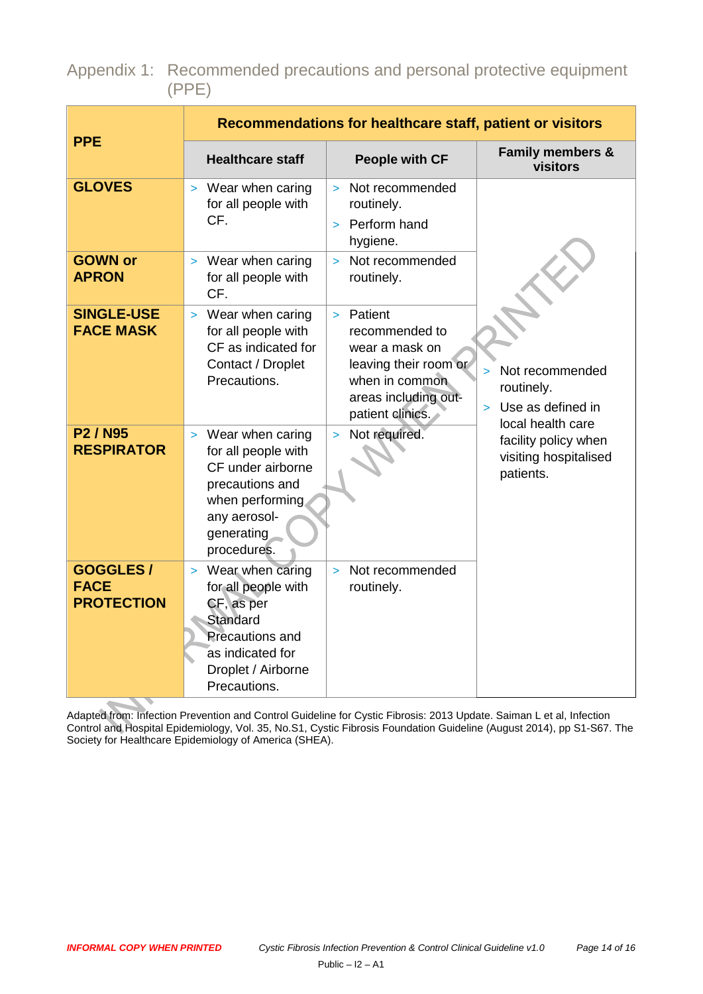<span id="page-13-0"></span>Appendix 1: Recommended precautions and personal protective equipment (PPE)

|                                                       |                                                                                                                                                         | Recommendations for healthcare staff, patient or visitors                                                                                          |                                                                                 |
|-------------------------------------------------------|---------------------------------------------------------------------------------------------------------------------------------------------------------|----------------------------------------------------------------------------------------------------------------------------------------------------|---------------------------------------------------------------------------------|
| <b>PPE</b>                                            | <b>Healthcare staff</b>                                                                                                                                 | <b>People with CF</b>                                                                                                                              | <b>Family members &amp;</b><br>visitors                                         |
| <b>GLOVES</b>                                         | > Wear when caring<br>for all people with<br>CF.                                                                                                        | Not recommended<br>$\geq$<br>routinely.<br>Perform hand<br>hygiene.                                                                                |                                                                                 |
| <b>GOWN or</b><br><b>APRON</b>                        | > Wear when caring<br>for all people with<br>CF.                                                                                                        | Not recommended<br>$\mathbf{r}$<br>routinely.                                                                                                      |                                                                                 |
| <b>SINGLE-USE</b><br><b>FACE MASK</b>                 | > Wear when caring<br>for all people with<br>CF as indicated for<br>Contact / Droplet<br>Precautions.                                                   | Patient<br>$\mathbf{r}$<br>recommended to<br>wear a mask on<br>leaving their room or<br>when in common<br>areas including out-<br>patient clinics. | Not recommended<br>$\geq$<br>routinely.<br>Use as defined in<br>$\geq$          |
| P <sub>2</sub> / N <sub>95</sub><br><b>RESPIRATOR</b> | > Wear when caring<br>for all people with<br>CF under airborne<br>precautions and<br>when performing.<br>any aerosol-<br>generating<br>procedures.      | Not required.                                                                                                                                      | local health care<br>facility policy when<br>visiting hospitalised<br>patients. |
| <b>GOGGLES/</b><br><b>FACE</b><br><b>PROTECTION</b>   | > Wear when caring<br>for all people with<br>CF, as per<br>Standard<br><b>Precautions and</b><br>as indicated for<br>Droplet / Airborne<br>Precautions. | Not recommended<br>$\mathbf{S}$<br>routinely.                                                                                                      |                                                                                 |

Adapted from: Infection Prevention and Control Guideline for Cystic Fibrosis: 2013 Update. Saiman L et al, Infection Control and Hospital Epidemiology, Vol. 35, No.S1, Cystic Fibrosis Foundation Guideline (August 2014), pp S1-S67. The Society for Healthcare Epidemiology of America (SHEA).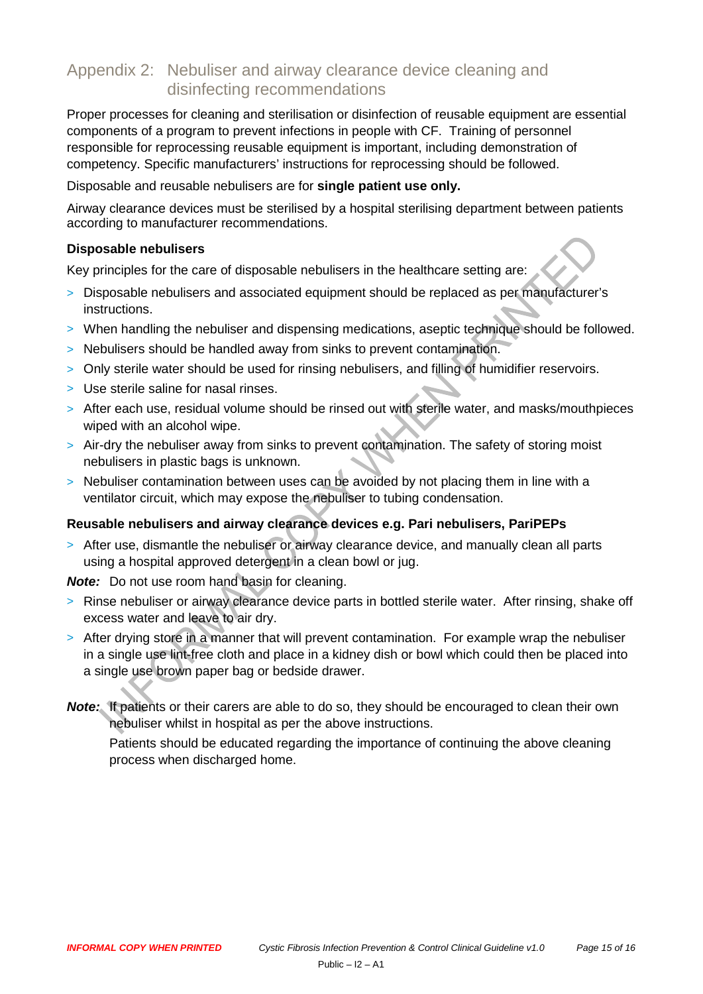## <span id="page-14-0"></span>Appendix 2: Nebuliser and airway clearance device cleaning and disinfecting recommendations

Proper processes for cleaning and sterilisation or disinfection of reusable equipment are essential components of a program to prevent infections in people with CF. Training of personnel responsible for reprocessing reusable equipment is important, including demonstration of competency. Specific manufacturers' instructions for reprocessing should be followed.

Disposable and reusable nebulisers are for **single patient use only.**

Airway clearance devices must be sterilised by a hospital sterilising department between patients according to manufacturer recommendations.

#### **Disposable nebulisers**

Key principles for the care of disposable nebulisers in the healthcare setting are:

- > Disposable nebulisers and associated equipment should be replaced as per manufacturer's instructions.
- > When handling the nebuliser and dispensing medications, aseptic technique should be followed.
- > Nebulisers should be handled away from sinks to prevent contamination.
- > Only sterile water should be used for rinsing nebulisers, and filling of humidifier reservoirs.
- > Use sterile saline for nasal rinses.
- > After each use, residual volume should be rinsed out with sterile water, and masks/mouthpieces wiped with an alcohol wipe.
- > Air-dry the nebuliser away from sinks to prevent contamination. The safety of storing moist nebulisers in plastic bags is unknown.
- > Nebuliser contamination between uses can be avoided by not placing them in line with a ventilator circuit, which may expose the nebuliser to tubing condensation.

#### **Reusable nebulisers and airway clearance devices e.g. Pari nebulisers, PariPEPs**

> After use, dismantle the nebuliser or airway clearance device, and manually clean all parts using a hospital approved detergent in a clean bowl or jug.

*Note:* Do not use room hand basin for cleaning.

- > Rinse nebuliser or airway clearance device parts in bottled sterile water. After rinsing, shake off excess water and leave to air dry.
- > After drying store in a manner that will prevent contamination. For example wrap the nebuliser in a single use lint-free cloth and place in a kidney dish or bowl which could then be placed into a single use brown paper bag or bedside drawer.
- *Note:* If patients or their carers are able to do so, they should be encouraged to clean their own nebuliser whilst in hospital as per the above instructions.

Patients should be educated regarding the importance of continuing the above cleaning process when discharged home.